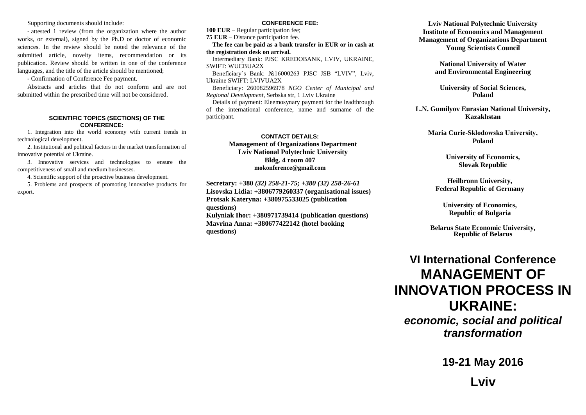Supporting documents should include:

- attested 1 review (from the organization where the author works, or external), signed by the Ph.D or doctor of economic sciences. In the review should be noted the relevance of the submitted article, novelty items, recommendation or its publication. Review should be written in one of the conference languages, and the title of the article should be mentioned;

- Confirmation of Conference Fee payment.

Abstracts and articles that do not conform and are not submitted within the prescribed time will not be considered.

#### **SCIENTIFIC TOPICS (SECTIONS) OF THE CONFERENCE:**

1. Integration into the world economy with current trends in technological development.

2. Institutional and political factors in the market transformation of innovative potential of Ukraine.

3. Innovative services and technologies to ensure the competitiveness of small and medium businesses.

4. Scientific support of the proactive business development.

5. Problems and prospects of promoting innovative products for export.

#### **CONFERENCE FEE:**

**100 EUR** – Regular participation fee;

**75 EUR** – Distance participation fee.

**The fee can be paid as a bank transfer in EUR or in cash at the registration desk on arrival.**

Intermediary Bank: PJSC KREDOBANK, LVIV, UKRAINE, SWIFT: WUCBUA2X

Beneficiary`s Bank: №16000263 PJSC JSB "LVIV", Lviv, Ukraine SWIFT: LVIVUA2X

Beneficiary: 260082596978 *NGO Center of Municipal and Regional Development*, Serbska str, 1 Lviv Ukraine

Details of payment: Eleemosynary payment for the leadthrough of the international conference, name and surname of the participant.

### **CONTACT DETAILS: Management of Organizations Department Lviv National Polytechnic University Bldg. 4 room 407 mokonference@gmail.com**

**Secretary: +380** *(32) 258-21-75; +380 (32) 258-26-61*

**Lisovska Lidia: +3806779260337 (organisational issues) Protsak Kateryna: +380975533025 (publication questions)**

**Kulyniak Ihor: +380971739414 (publication questions) Mavrina Anna: +380677422142 (hotel booking questions)**

## **Lviv National Polytechnic University Institute of Economics and Management Management of Organizations Department Young Scientists Council**

**National University of Water and Environmental Engineering**

**University of Social Sciences, Poland**

**L.N. Gumilyov Eurasian National University, Kazakhstan**

**Maria Curie-Skłodowska University, Poland**

> **University of Economics, Slovak Republic**

**Heilbronn University, Federal Republic of Germany**

**University of Economics, Republic of Bulgaria**

**Belarus State Economic University, Republic of Belarus**

# **VI International Conference MANAGEMENT OF INNOVATION PROCESS IN UKRAINE:**

*economic, social and political transformation*

**19-21 May 2016**